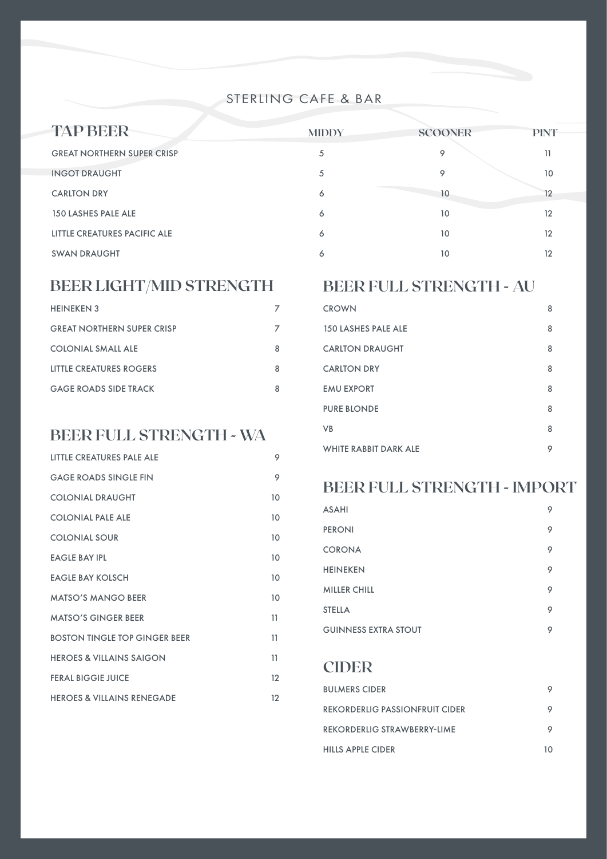#### STERLING CAFE & BAR

| <b>TAP BEER</b>                   | <b>MIDDY</b> | <b>SCOONER</b> | <b>PINT</b> |
|-----------------------------------|--------------|----------------|-------------|
| <b>GREAT NORTHERN SUPER CRISP</b> | 5            | 9              | 11          |
| <b>INGOT DRAUGHT</b>              | 5            | 9              | 10          |
| <b>CARLTON DRY</b>                | 6            | 10             | 12          |
| 150 LASHES PALE ALE               | 6            | 10             | 12          |
| LITTLE CREATURES PACIFIC ALE      | 6            | 10             | 12          |
| <b>SWAN DRAUGHT</b>               | Ô            | 10             | 12          |

## **BEER LIGHT/MID STRENGTH BEER FULL STRENGTH - AU**

| <b>HEINEKEN 3</b>                 |   |
|-----------------------------------|---|
| <b>GREAT NORTHERN SUPER CRISP</b> |   |
| <b>COLONIAL SMALL ALE</b>         | 8 |
| LITTLE CREATURES ROGERS           | 8 |
| <b>GAGE ROADS SIDE TRACK</b>      | 8 |

# **BEER FULL STRENGTH - WA**

| LITTLE CREATURES PALE ALE             | 9  |
|---------------------------------------|----|
| <b>GAGE ROADS SINGLE FIN</b>          | 9  |
| <b>COLONIAL DRAUGHT</b>               | 10 |
| COLONIAL PALE ALE                     | 10 |
| <b>COLONIAL SOUR</b>                  | 10 |
| <b>EAGLE BAY IPL</b>                  | 10 |
| <b>EAGLE BAY KOLSCH</b>               | 10 |
| <b>MATSO'S MANGO BEER</b>             | 10 |
| <b>MATSO'S GINGER BEER</b>            | 11 |
| <b>BOSTON TINGLE TOP GINGER BEER</b>  | 11 |
| <b>HEROES &amp; VILLAINS SAIGON</b>   | 11 |
| <b>FERAL BIGGIE JUICE</b>             | 12 |
| <b>HEROES &amp; VILLAINS RENEGADE</b> | 12 |

| <b>CROWN</b>                 | 8 |
|------------------------------|---|
| 150 LASHES PALE ALE          | 8 |
| <b>CARLTON DRAUGHT</b>       | 8 |
| <b>CARLTON DRY</b>           | 8 |
| <b>EMU EXPORT</b>            | 8 |
| <b>PURE BLONDE</b>           | 8 |
| <b>VB</b>                    | 8 |
| <b>WHITE RABBIT DARK ALE</b> | 9 |

## **BEER FULL STRENGTH - IMPORT**

| <b>ASAHI</b>                | 9 |
|-----------------------------|---|
| <b>PERONI</b>               | 9 |
| <b>CORONA</b>               | 9 |
| <b>HEINEKEN</b>             | 9 |
| <b>MILLER CHILL</b>         | 9 |
| <b>STELLA</b>               | 9 |
| <b>GUINNESS EXTRA STOUT</b> | 9 |

# **CIDER**

| <b>BULMERS CIDER</b>                  |    |
|---------------------------------------|----|
| <b>REKORDERLIG PASSIONFRUIT CIDER</b> |    |
| REKORDERLIG STRAWBERRY-LIME           |    |
| <b>HILLS APPLE CIDER</b>              | 10 |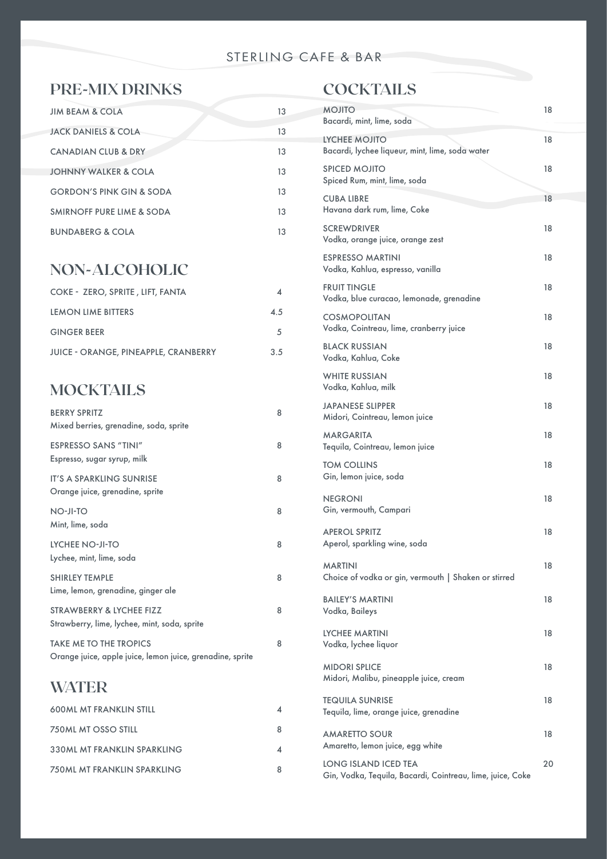#### STERLING CAFE & BAR

# **PRE-MIX DRINKS**

| <b>JIM BEAM &amp; COLA</b>          | 13 |
|-------------------------------------|----|
| <b>JACK DANIELS &amp; COLA</b>      | 13 |
| <b>CANADIAN CLUB &amp; DRY</b>      | 13 |
| <b>JOHNNY WALKER &amp; COLA</b>     | 13 |
| <b>GORDON'S PINK GIN &amp; SODA</b> | 13 |
| SMIRNOFF PURE LIME & SODA           | 13 |
| <b>BUNDABERG &amp; COLA</b>         | 13 |

# **NON-ALCOHOLIC**

| COKE - ZERO, SPRITE, LIFT, FANTA            | 4   |
|---------------------------------------------|-----|
| <b>LEMON LIME BITTERS</b>                   | 4.5 |
| <b>GINGER BEER</b>                          | 5   |
| <b>JUICE - ORANGE, PINEAPPLE, CRANBERRY</b> | 3.5 |

# **MOCKTAILS**

| <b>BERRY SPRITZ</b><br>Mixed berries, grenadine, soda, sprite                              | 8 |
|--------------------------------------------------------------------------------------------|---|
| <b>ESPRESSO SANS "TINI"</b><br>Espresso, sugar syrup, milk                                 | 8 |
| <b>IT'S A SPARKLING SUNRISE</b><br>Orange juice, grenadine, sprite                         | 8 |
| NO-JI-TO<br>Mint, lime, soda                                                               | 8 |
| <b>LYCHEE NO-JI-TO</b><br>Lychee, mint, lime, soda                                         | 8 |
| <b>SHIRLEY TEMPLE</b><br>Lime, lemon, grenadine, ginger ale                                | 8 |
| STRAWBERRY & LYCHEE FIZZ<br>Strawberry, lime, lychee, mint, soda, sprite                   | 8 |
| <b>TAKE ME TO THE TROPICS</b><br>Orange juice, apple juice, lemon juice, grenadine, sprite | 8 |
| <b>ULIATURD</b>                                                                            |   |

## **WATER**

| <b>600ML MT FRANKLIN STILL</b> | 4 |
|--------------------------------|---|
| 750ML MT OSSO STILL            | 8 |
| 330ML MT FRANKLIN SPARKLING    |   |
| 750ML MT FRANKLIN SPARKLING    | 8 |

# **COCKTAILS**

| <b>MOJITO</b>                                                                      | 18 |
|------------------------------------------------------------------------------------|----|
| Bacardi, mint, lime, soda                                                          |    |
| <b>LYCHEE MOJITO</b><br>Bacardi, lychee liqueur, mint, lime, soda water            | 18 |
| <b>SPICED MOJITO</b><br>Spiced Rum, mint, lime, soda                               | 18 |
| <b>CUBA LIBRE</b><br>Havana dark rum, lime, Coke                                   | 18 |
| <b>SCREWDRIVER</b><br>Vodka, orange juice, orange zest                             | 18 |
| <b>ESPRESSO MARTINI</b><br>Vodka, Kahlua, espresso, vanilla                        | 18 |
| <b>FRUIT TINGLE</b><br>Vodka, blue curacao, lemonade, grenadine                    | 18 |
| <b>COSMOPOLITAN</b><br>Vodka, Cointreau, lime, cranberry juice                     | 18 |
| <b>BLACK RUSSIAN</b><br>Vodka, Kahlua, Coke                                        | 18 |
| <b>WHITE RUSSIAN</b><br>Vodka, Kahlua, milk                                        | 18 |
| <b>JAPANESE SLIPPER</b><br>Midori, Cointreau, lemon juice                          | 18 |
| <b>MARGARITA</b><br>Tequila, Cointreau, lemon juice                                | 18 |
| <b>TOM COLLINS</b><br>Gin, lemon juice, soda                                       | 18 |
| <b>NEGRONI</b><br>Gin, vermouth, Campari                                           | 18 |
| <b>APEROL SPRITZ</b><br>Aperol, sparkling wine, soda                               | 18 |
| <b>MARTINI</b><br>Choice of vodka or gin, vermouth   Shaken or stirred             | 18 |
| <b>BAILEY'S MARTINI</b><br>Vodka, Baileys                                          | 18 |
| <b>LYCHEE MARTINI</b><br>Vodka, lychee liquor                                      | 18 |
| <b>MIDORI SPLICE</b><br>Midori, Malibu, pineapple juice, cream                     | 18 |
| <b>TEQUILA SUNRISE</b><br>Tequila, lime, orange juice, grenadine                   | 18 |
| <b>AMARETTO SOUR</b><br>Amaretto, lemon juice, egg white                           | 18 |
| LONG ISLAND ICED TEA<br>Gin, Vodka, Tequila, Bacardi, Cointreau, lime, juice, Coke | 20 |